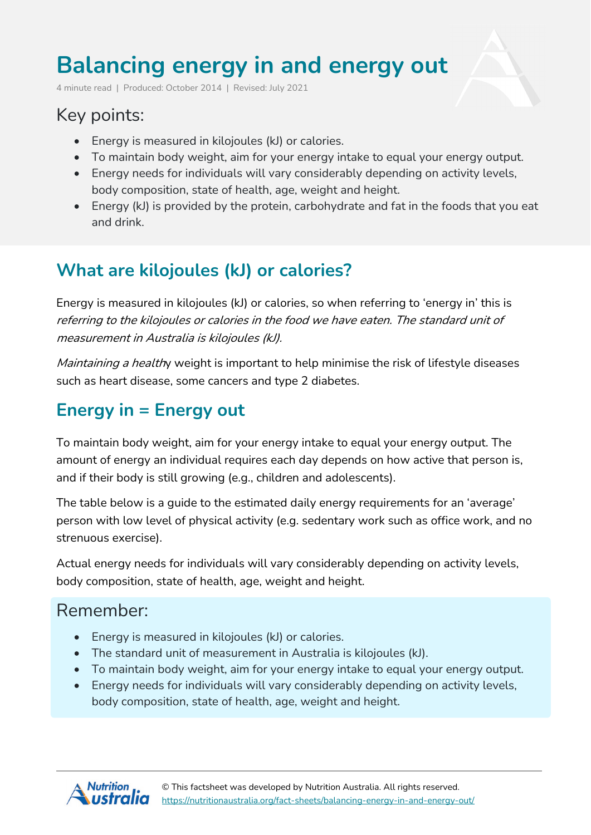# **Balancing energy in and energy out**

4 minute read | Produced: October 2014 | Revised: July 2021

## Key points:

- Energy is measured in kilojoules (kJ) or calories.
- To maintain body weight, aim for your energy intake to equal your energy output.
- Energy needs for individuals will vary considerably depending on activity levels, body composition, state of health, age, weight and height.
- Energy (kJ) is provided by the protein, carbohydrate and fat in the foods that you eat and drink.

## **What are kilojoules (kJ) or calories?**

Energy is measured in kilojoules (kJ) or calories, so when referring to 'energy in' this is referring to the kilojoules or calories in the food we have eaten. The standard unit of measurement in Australia is kilojoules (kJ).

Maintaining a healthy weight is important to help minimise the risk of lifestyle diseases such as heart disease, some cancers and type 2 diabetes.

### **Energy in = Energy out**

To maintain body weight, aim for your energy intake to equal your energy output. The amount of energy an individual requires each day depends on how active that person is, and if their body is still growing (e.g., children and adolescents).

The table below is a guide to the estimated daily energy requirements for an 'average' person with low level of physical activity (e.g. sedentary work such as office work, and no strenuous exercise).

Actual energy needs for individuals will vary considerably depending on activity levels, body composition, state of health, age, weight and height.

### Remember:

- Energy is measured in kilojoules (kJ) or calories.
- The standard unit of measurement in Australia is kilojoules (kJ).
- To maintain body weight, aim for your energy intake to equal your energy output.
- Energy needs for individuals will vary considerably depending on activity levels, body composition, state of health, age, weight and height.

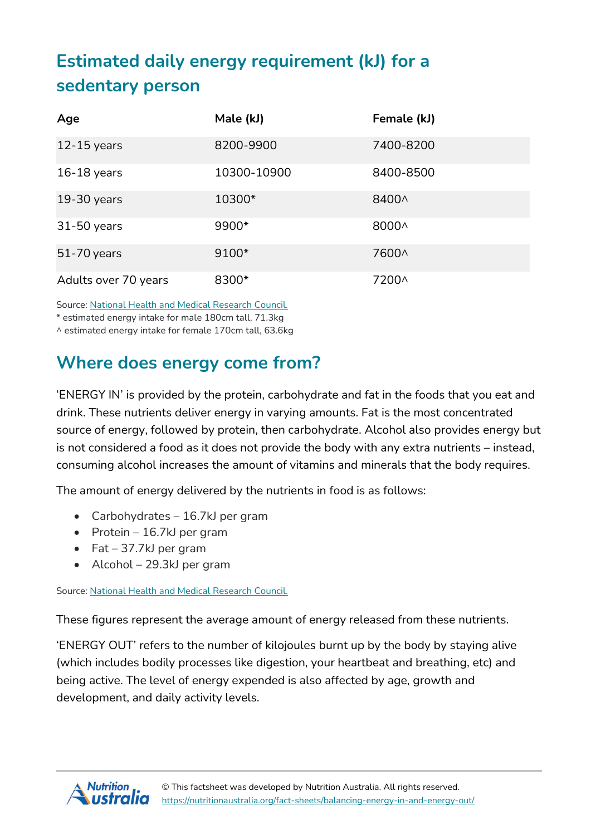# **Estimated daily energy requirement (kJ) for a sedentary person**

| Age                  | Male (kJ)   | Female (kJ) |
|----------------------|-------------|-------------|
| $12 - 15$ years      | 8200-9900   | 7400-8200   |
| $16-18$ years        | 10300-10900 | 8400-8500   |
| $19-30$ years        | 10300*      | 8400^       |
| 31-50 years          | 9900*       | 8000^       |
| 51-70 years          | $9100*$     | 7600^       |
| Adults over 70 years | 8300*       | 7200^       |

Source: National Health and Medical [Research](https://www.nrv.gov.au/dietary-energy) Council.

\* estimated energy intake for male 180cm tall, 71.3kg

^ estimated energy intake for female 170cm tall, 63.6kg

### **Where does energy come from?**

'ENERGY IN' is provided by the protein, carbohydrate and fat in the foods that you eat and drink. These nutrients deliver energy in varying amounts. Fat is the most concentrated source of energy, followed by protein, then carbohydrate. Alcohol also provides energy but is not considered a food as it does not provide the body with any extra nutrients – instead, consuming alcohol increases the amount of vitamins and minerals that the body requires.

The amount of energy delivered by the nutrients in food is as follows:

- Carbohydrates 16.7kJ per gram
- Protein 16.7kJ per gram
- Fat 37.7 $k$ J per gram
- Alcohol 29.3kJ per gram

Source: National Health and Medical [Research](https://www.nrv.gov.au/dietary-energy) Council.

These figures represent the average amount of energy released from these nutrients.

'ENERGY OUT' refers to the number of kilojoules burnt up by the body by staying alive (which includes bodily processes like digestion, your heartbeat and breathing, etc) and being active. The level of energy expended is also affected by age, growth and development, and daily activity levels.